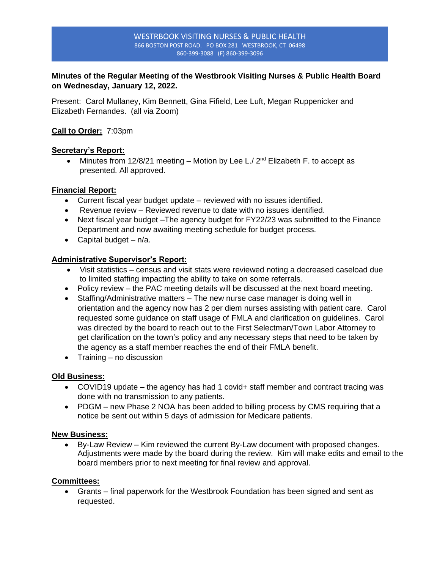#### WESTRBOOK VISITING NURSES & PUBLIC HEALTH 866 BOSTON POST ROAD. PO BOX 281 WESTBROOK, CT 06498 860-399-3088 (F) 860-399-3096

# **Minutes of the Regular Meeting of the Westbrook Visiting Nurses & Public Health Board on Wednesday, January 12, 2022.**

Present: Carol Mullaney, Kim Bennett, Gina Fifield, Lee Luft, Megan Ruppenicker and Elizabeth Fernandes. (all via Zoom)

# **Call to Order:** 7:03pm

## **Secretary's Report:**

• Minutes from 12/8/21 meeting – Motion by Lee L./  $2^{nd}$  Elizabeth F. to accept as presented. All approved.

## **Financial Report:**

- Current fiscal year budget update reviewed with no issues identified.
- Revenue review Reviewed revenue to date with no issues identified.
- Next fiscal year budget –The agency budget for FY22/23 was submitted to the Finance Department and now awaiting meeting schedule for budget process.
- Capital budget  $n/a$ .

## **Administrative Supervisor's Report:**

- Visit statistics census and visit stats were reviewed noting a decreased caseload due to limited staffing impacting the ability to take on some referrals.
- Policy review the PAC meeting details will be discussed at the next board meeting.
- Staffing/Administrative matters The new nurse case manager is doing well in orientation and the agency now has 2 per diem nurses assisting with patient care. Carol requested some guidance on staff usage of FMLA and clarification on guidelines. Carol was directed by the board to reach out to the First Selectman/Town Labor Attorney to get clarification on the town's policy and any necessary steps that need to be taken by the agency as a staff member reaches the end of their FMLA benefit.
- Training no discussion

# **Old Business:**

- COVID19 update the agency has had 1 covid+ staff member and contract tracing was done with no transmission to any patients.
- PDGM new Phase 2 NOA has been added to billing process by CMS requiring that a notice be sent out within 5 days of admission for Medicare patients.

#### **New Business:**

• By-Law Review – Kim reviewed the current By-Law document with proposed changes. Adjustments were made by the board during the review. Kim will make edits and email to the board members prior to next meeting for final review and approval.

#### **Committees:**

• Grants – final paperwork for the Westbrook Foundation has been signed and sent as requested.